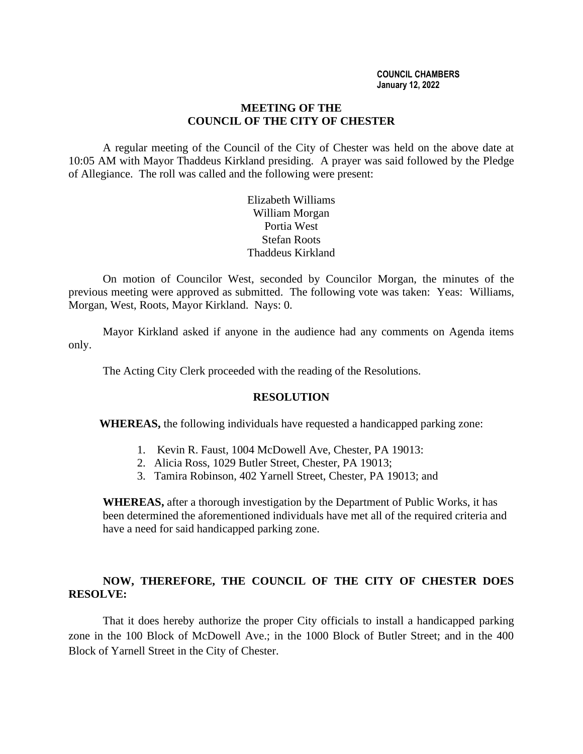#### **MEETING OF THE COUNCIL OF THE CITY OF CHESTER**

A regular meeting of the Council of the City of Chester was held on the above date at 10:05 AM with Mayor Thaddeus Kirkland presiding. A prayer was said followed by the Pledge of Allegiance. The roll was called and the following were present:

> Elizabeth Williams William Morgan Portia West Stefan Roots Thaddeus Kirkland

On motion of Councilor West, seconded by Councilor Morgan, the minutes of the previous meeting were approved as submitted. The following vote was taken: Yeas: Williams, Morgan, West, Roots, Mayor Kirkland. Nays: 0.

Mayor Kirkland asked if anyone in the audience had any comments on Agenda items only.

The Acting City Clerk proceeded with the reading of the Resolutions.

## **RESOLUTION**

**WHEREAS,** the following individuals have requested a handicapped parking zone:

- 1. Kevin R. Faust, 1004 McDowell Ave, Chester, PA 19013:
- 2. Alicia Ross, 1029 Butler Street, Chester, PA 19013;
- 3. Tamira Robinson, 402 Yarnell Street, Chester, PA 19013; and

**WHEREAS,** after a thorough investigation by the Department of Public Works, it has been determined the aforementioned individuals have met all of the required criteria and have a need for said handicapped parking zone.

# **NOW, THEREFORE, THE COUNCIL OF THE CITY OF CHESTER DOES RESOLVE:**

That it does hereby authorize the proper City officials to install a handicapped parking zone in the 100 Block of McDowell Ave.; in the 1000 Block of Butler Street; and in the 400 Block of Yarnell Street in the City of Chester.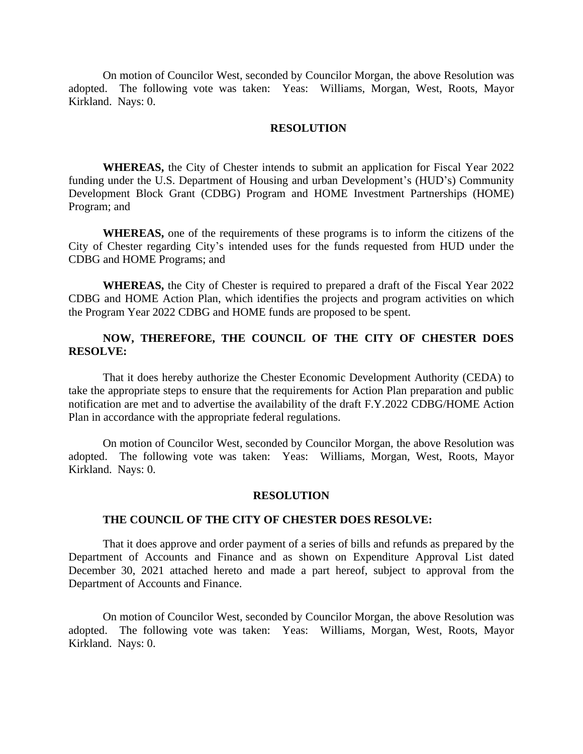On motion of Councilor West, seconded by Councilor Morgan, the above Resolution was adopted. The following vote was taken: Yeas: Williams, Morgan, West, Roots, Mayor Kirkland. Nays: 0.

#### **RESOLUTION**

**WHEREAS,** the City of Chester intends to submit an application for Fiscal Year 2022 funding under the U.S. Department of Housing and urban Development's (HUD's) Community Development Block Grant (CDBG) Program and HOME Investment Partnerships (HOME) Program; and

**WHEREAS,** one of the requirements of these programs is to inform the citizens of the City of Chester regarding City's intended uses for the funds requested from HUD under the CDBG and HOME Programs; and

**WHEREAS,** the City of Chester is required to prepared a draft of the Fiscal Year 2022 CDBG and HOME Action Plan, which identifies the projects and program activities on which the Program Year 2022 CDBG and HOME funds are proposed to be spent.

## **NOW, THEREFORE, THE COUNCIL OF THE CITY OF CHESTER DOES RESOLVE:**

That it does hereby authorize the Chester Economic Development Authority (CEDA) to take the appropriate steps to ensure that the requirements for Action Plan preparation and public notification are met and to advertise the availability of the draft F.Y.2022 CDBG/HOME Action Plan in accordance with the appropriate federal regulations.

On motion of Councilor West, seconded by Councilor Morgan, the above Resolution was adopted. The following vote was taken: Yeas: Williams, Morgan, West, Roots, Mayor Kirkland. Nays: 0.

#### **RESOLUTION**

#### **THE COUNCIL OF THE CITY OF CHESTER DOES RESOLVE:**

That it does approve and order payment of a series of bills and refunds as prepared by the Department of Accounts and Finance and as shown on Expenditure Approval List dated December 30, 2021 attached hereto and made a part hereof, subject to approval from the Department of Accounts and Finance.

On motion of Councilor West, seconded by Councilor Morgan, the above Resolution was adopted. The following vote was taken: Yeas: Williams, Morgan, West, Roots, Mayor Kirkland. Nays: 0.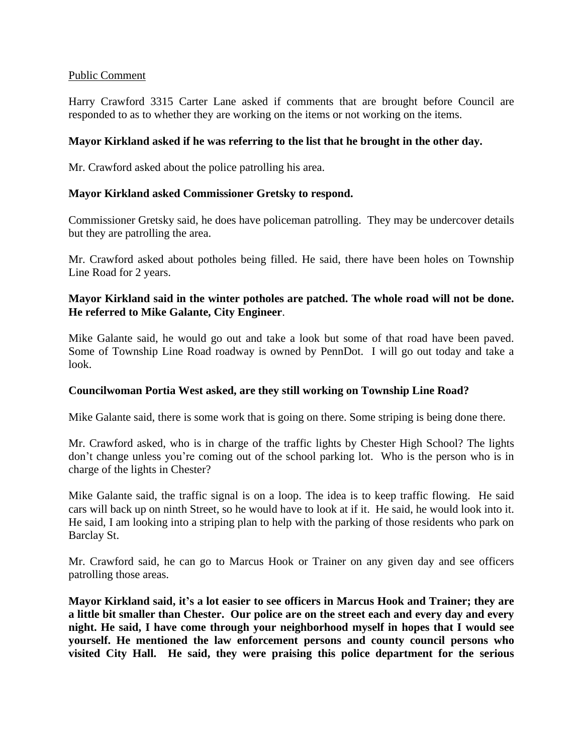## Public Comment

Harry Crawford 3315 Carter Lane asked if comments that are brought before Council are responded to as to whether they are working on the items or not working on the items.

## **Mayor Kirkland asked if he was referring to the list that he brought in the other day.**

Mr. Crawford asked about the police patrolling his area.

## **Mayor Kirkland asked Commissioner Gretsky to respond.**

Commissioner Gretsky said, he does have policeman patrolling. They may be undercover details but they are patrolling the area.

Mr. Crawford asked about potholes being filled. He said, there have been holes on Township Line Road for 2 years.

# **Mayor Kirkland said in the winter potholes are patched. The whole road will not be done. He referred to Mike Galante, City Engineer**.

Mike Galante said, he would go out and take a look but some of that road have been paved. Some of Township Line Road roadway is owned by PennDot. I will go out today and take a look.

## **Councilwoman Portia West asked, are they still working on Township Line Road?**

Mike Galante said, there is some work that is going on there. Some striping is being done there.

Mr. Crawford asked, who is in charge of the traffic lights by Chester High School? The lights don't change unless you're coming out of the school parking lot. Who is the person who is in charge of the lights in Chester?

Mike Galante said, the traffic signal is on a loop. The idea is to keep traffic flowing. He said cars will back up on ninth Street, so he would have to look at if it. He said, he would look into it. He said, I am looking into a striping plan to help with the parking of those residents who park on Barclay St.

Mr. Crawford said, he can go to Marcus Hook or Trainer on any given day and see officers patrolling those areas.

**Mayor Kirkland said, it's a lot easier to see officers in Marcus Hook and Trainer; they are a little bit smaller than Chester. Our police are on the street each and every day and every night. He said, I have come through your neighborhood myself in hopes that I would see yourself. He mentioned the law enforcement persons and county council persons who visited City Hall. He said, they were praising this police department for the serious**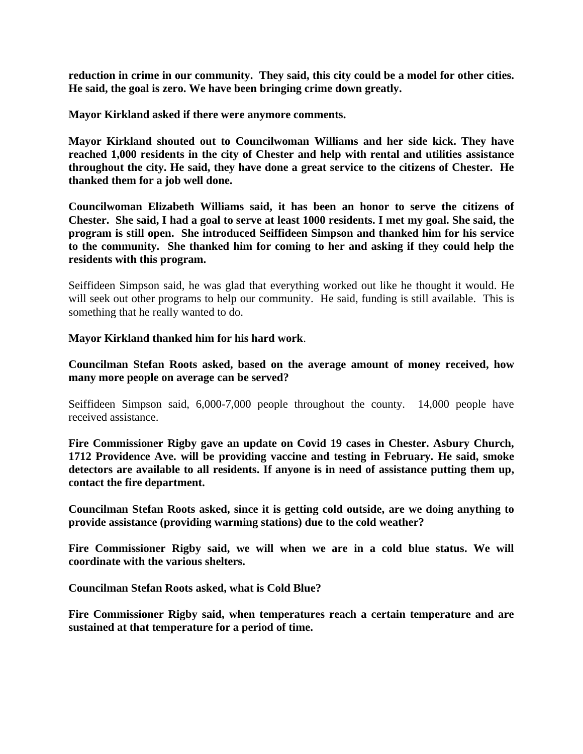**reduction in crime in our community. They said, this city could be a model for other cities. He said, the goal is zero. We have been bringing crime down greatly.**

**Mayor Kirkland asked if there were anymore comments.**

**Mayor Kirkland shouted out to Councilwoman Williams and her side kick. They have reached 1,000 residents in the city of Chester and help with rental and utilities assistance throughout the city. He said, they have done a great service to the citizens of Chester. He thanked them for a job well done.**

**Councilwoman Elizabeth Williams said, it has been an honor to serve the citizens of Chester. She said, I had a goal to serve at least 1000 residents. I met my goal. She said, the program is still open. She introduced Seiffideen Simpson and thanked him for his service to the community. She thanked him for coming to her and asking if they could help the residents with this program.**

Seiffideen Simpson said, he was glad that everything worked out like he thought it would. He will seek out other programs to help our community. He said, funding is still available. This is something that he really wanted to do.

#### **Mayor Kirkland thanked him for his hard work**.

**Councilman Stefan Roots asked, based on the average amount of money received, how many more people on average can be served?**

Seiffideen Simpson said, 6,000-7,000 people throughout the county. 14,000 people have received assistance.

**Fire Commissioner Rigby gave an update on Covid 19 cases in Chester. Asbury Church, 1712 Providence Ave. will be providing vaccine and testing in February. He said, smoke detectors are available to all residents. If anyone is in need of assistance putting them up, contact the fire department.**

**Councilman Stefan Roots asked, since it is getting cold outside, are we doing anything to provide assistance (providing warming stations) due to the cold weather?**

**Fire Commissioner Rigby said, we will when we are in a cold blue status. We will coordinate with the various shelters.**

**Councilman Stefan Roots asked, what is Cold Blue?**

**Fire Commissioner Rigby said, when temperatures reach a certain temperature and are sustained at that temperature for a period of time.**